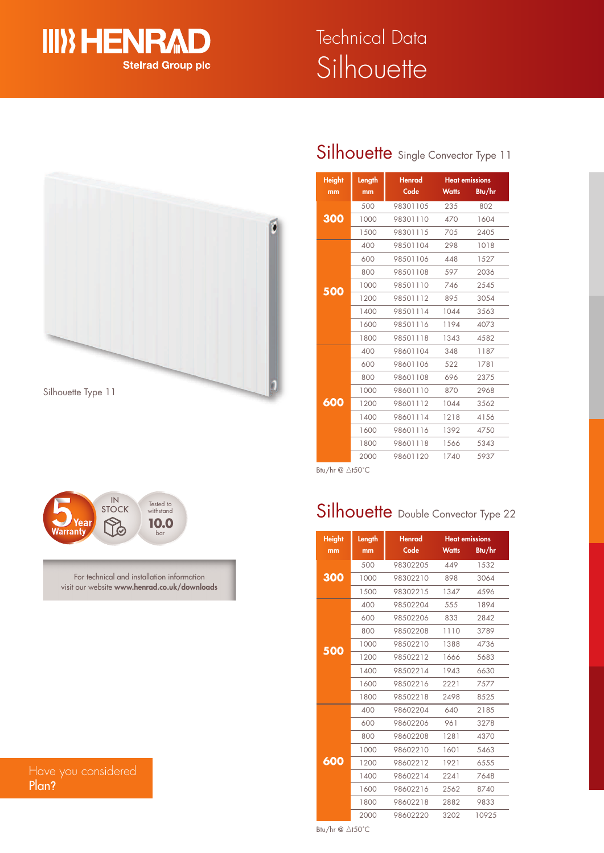

# Silhouette Technical Data





For technical and installation information visit our website **www.henrad.co.uk/downloads**

### Have you considered Plan**?**

### Silhouette Single Convector Type 11

| <b>Height</b> | Length | <b>Henrad</b> |              | <b>Heat emissions</b> |
|---------------|--------|---------------|--------------|-----------------------|
| mm            | mm     | Code          | <b>Watts</b> | Btu/hr                |
| 300           | 500    | 98301105      | 235          | 802                   |
|               | 1000   | 98301110      | 470          | 1604                  |
|               | 1500   | 98301115      | 705          | 2405                  |
|               | 400    | 98501104      | 298          | 1018                  |
|               | 600    | 98501106      | 448          | 1527                  |
|               | 800    | 98501108      | 597          | 2036                  |
| 500           | 1000   | 98501110      | 746          | 2545                  |
|               | 1200   | 98501112      | 895          | 3054                  |
|               | 1400   | 98501114      | 1044         | 3563                  |
|               | 1600   | 98501116      | 1194         | 4073                  |
|               | 1800   | 98501118      | 1343         | 4582                  |
|               | 400    | 98601104      | 348          | 1187                  |
|               | 600    | 98601106      | 522          | 1781                  |
|               | 800    | 98601108      | 696          | 2375                  |
|               | 1000   | 98601110      | 870          | 2968                  |
| 600           | 1200   | 98601112      | 1044         | 3562                  |
|               | 1400   | 98601114      | 1218         | 4156                  |
|               | 1600   | 98601116      | 1392         | 4750                  |
|               | 1800   | 98601118      | 1566         | 5343                  |
|               | 2000   | 98601120      | 1740         | 5937                  |

Btu/hr @ ∆t50°C

## Silhouette Double Convector Type 22

| <b>Height</b> | Henrad<br>Length |          | <b>Heat emissions</b> |        |  |
|---------------|------------------|----------|-----------------------|--------|--|
| mm            | mm               | Code     | <b>Watts</b>          | Btu/hr |  |
|               | 500              | 98302205 | 449                   | 1532   |  |
| 300           | 1000             | 98302210 | 898                   | 3064   |  |
|               | 1500             | 98302215 | 1347                  | 4596   |  |
|               | 400              | 98502204 | 555                   | 1894   |  |
|               | 600              | 98502206 | 833                   | 2842   |  |
|               | 800              | 98502208 | 1110                  | 3789   |  |
|               | 1000             | 98502210 | 1388                  | 4736   |  |
| 500           | 1200             | 98502212 | 1666                  | 5683   |  |
|               | 1400             | 98502214 | 1943                  | 6630   |  |
|               | 1600             | 98502216 | 2221                  | 7577   |  |
|               | 1800             | 98502218 | 2498                  | 8525   |  |
|               | 400              | 98602204 | 640                   | 2185   |  |
|               | 600              | 98602206 | 961                   | 3278   |  |
|               | 800              | 98602208 | 1281                  | 4370   |  |
|               | 1000             | 98602210 | 1601                  | 5463   |  |
| 600           | 1200             | 98602212 | 1921                  | 6555   |  |
|               | 1400             | 98602214 | 2241                  | 7648   |  |
|               | 1600             | 98602216 | 2562                  | 8740   |  |
|               | 1800             | 98602218 | 2882                  | 9833   |  |
|               | 2000             | 98602220 | 3202                  | 10925  |  |

Btu/hr  $@$   $\triangle$ t50°C